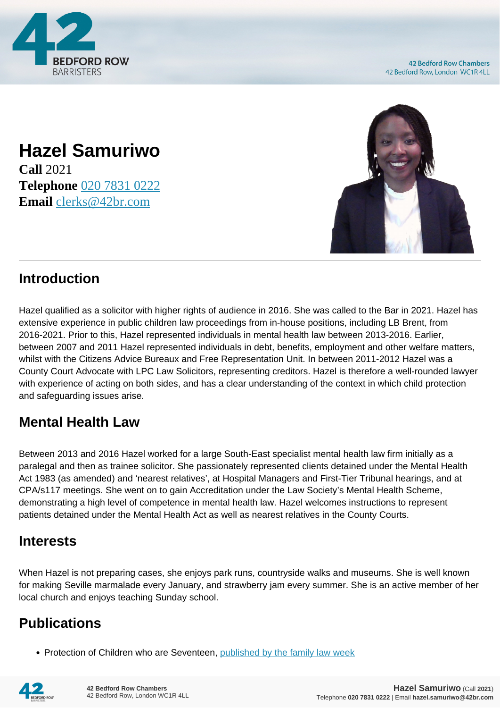

### **Hazel Samuriwo Call** 2021 **Telephone** [020 7831 0222](https://pdf.codeshore.co/_42br/tel:020 7831 0222) **Email** [clerks@42br.com](mailto:clerks@42br.com)



# **Introduction**

Hazel qualified as a solicitor with higher rights of audience in 2016. She was called to the Bar in 2021. Hazel has extensive experience in public children law proceedings from in-house positions, including LB Brent, from 2016-2021. Prior to this, Hazel represented individuals in mental health law between 2013-2016. Earlier, between 2007 and 2011 Hazel represented individuals in debt, benefits, employment and other welfare matters, whilst with the Citizens Advice Bureaux and Free Representation Unit. In between 2011-2012 Hazel was a County Court Advocate with LPC Law Solicitors, representing creditors. Hazel is therefore a well-rounded lawyer with experience of acting on both sides, and has a clear understanding of the context in which child protection and safeguarding issues arise.

# **Mental Health Law**

Between 2013 and 2016 Hazel worked for a large South-East specialist mental health law firm initially as a paralegal and then as trainee solicitor. She passionately represented clients detained under the Mental Health Act 1983 (as amended) and 'nearest relatives', at Hospital Managers and First-Tier Tribunal hearings, and at CPA/s117 meetings. She went on to gain Accreditation under the Law Society's Mental Health Scheme, demonstrating a high level of competence in mental health law. Hazel welcomes instructions to represent patients detained under the Mental Health Act as well as nearest relatives in the County Courts.

### **Interests**

When Hazel is not preparing cases, she enjoys park runs, countryside walks and museums. She is well known for making Seville marmalade every January, and strawberry jam every summer. She is an active member of her local church and enjoys teaching Sunday school.

# **Publications**

• Protection of Children who are Seventeen, [published by the family law week](https://www.familylawweek.co.uk/site.aspx?i=ed211731)